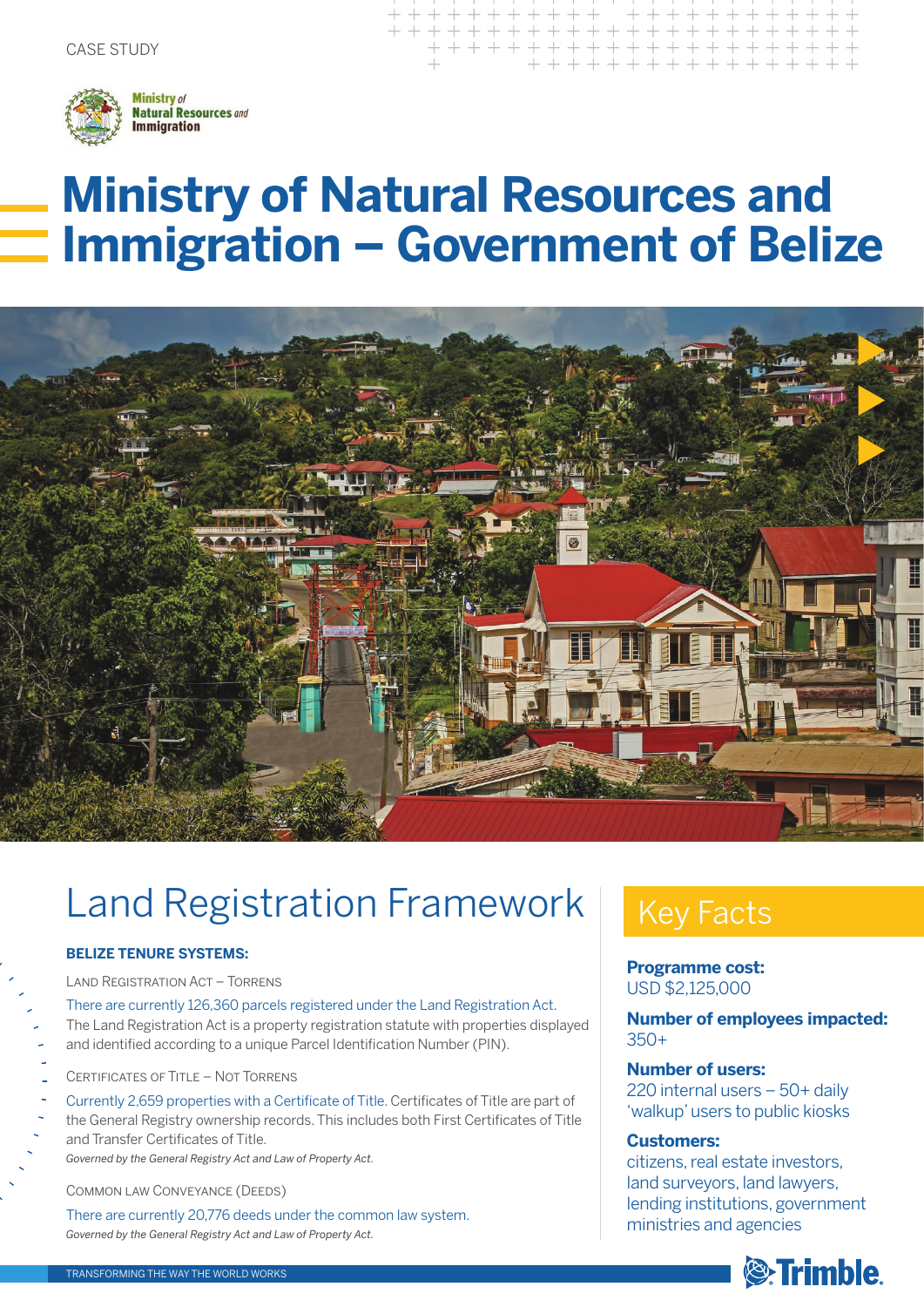

# **Ministry of Natural Resources and Immigration – Government of Belize**



## Land Registration Framework

### **BELIZE TENURE SYSTEMS:**

Land Registration Act – Torrens

There are currently 126,360 parcels registered under the Land Registration Act. The Land Registration Act is a property registration statute with properties displayed and identified according to a unique Parcel Identification Number (PIN).

- Certificates of Title Not Torrens
- Currently 2,659 properties with a Certificate of Title. Certificates of Title are part of the General Registry ownership records. This includes both First Certificates of Title and Transfer Certificates of Title. *Governed by the General Registry Act and Law of Property Act.*

Common law Conveyance (Deeds)

There are currently 20,776 deeds under the common law system. *Governed by the General Registry Act and Law of Property Act.*

### Key Facts

+ + + + + + + + + + + + + + + +

**Programme cost:**  USD \$2,125,000

**Number of employees impacted:** 350+

### **Number of users:**

220 internal users – 50+ daily 'walkup' users to public kiosks

### **Customers:**

citizens, real estate investors, land surveyors, land lawyers, lending institutions, government ministries and agencies

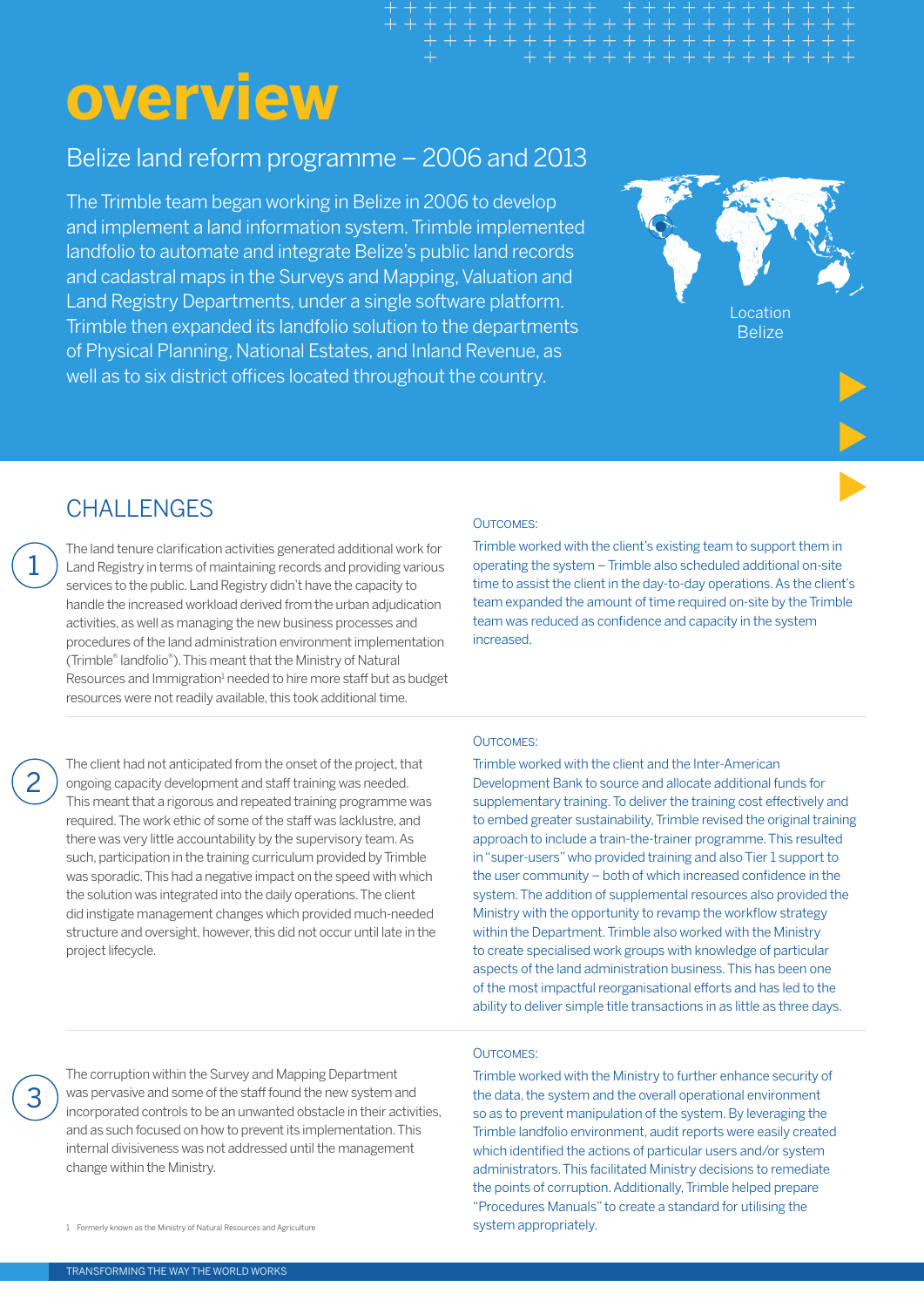# **overview**

### Belize land reform programme – 2006 and 2013

The Trimble team began working in Belize in 2006 to develop and implement a land information system. Trimble implemented landfolio to automate and integrate Belize's public land records and cadastral maps in the Surveys and Mapping, Valuation and Land Registry Departments, under a single software platform. Trimble then expanded its landfolio solution to the departments of Physical Planning, National Estates, and Inland Revenue, as well as to six district offices located throughout the country.



### CHALL FNGES

The land tenure clarification activities generated additional work for Land Registry in terms of maintaining records and providing various services to the public. Land Registry didn't have the capacity to handle the increased workload derived from the urban adjudication activities, as well as managing the new business processes and procedures of the land administration environment implementation (Trimble® landfolio®). This meant that the Ministry of Natural Resources and Immigration<sup>1</sup> needed to hire more staff but as budget resources were not readily available, this took additional time.

The client had not anticipated from the onset of the project, that ongoing capacity development and staff training was needed. This meant that a rigorous and repeated training programme was required. The work ethic of some of the staff was lacklustre, and there was very little accountability by the supervisory team. As such, participation in the training curriculum provided by Trimble was sporadic. This had a negative impact on the speed with which the solution was integrated into the daily operations. The client did instigate management changes which provided much-needed structure and oversight, however, this did not occur until late in the project lifecycle.

#### Outcomes:

Trimble worked with the client's existing team to support them in operating the system – Trimble also scheduled additional on-site time to assist the client in the day-to-day operations. As the client's team expanded the amount of time required on-site by the Trimble team was reduced as confidence and capacity in the system increased.

### Outcomes:

Trimble worked with the client and the Inter-American Development Bank to source and allocate additional funds for supplementary training. To deliver the training cost effectively and to embed greater sustainability, Trimble revised the original training approach to include a train-the-trainer programme. This resulted in "super-users" who provided training and also Tier 1 support to the user community – both of which increased confidence in the system. The addition of supplemental resources also provided the Ministry with the opportunity to revamp the workflow strategy within the Department. Trimble also worked with the Ministry to create specialised work groups with knowledge of particular aspects of the land administration business. This has been one of the most impactful reorganisational efforts and has led to the ability to deliver simple title transactions in as little as three days.

3

1

2

The corruption within the Survey and Mapping Department was pervasive and some of the staff found the new system and incorporated controls to be an unwanted obstacle in their activities, and as such focused on how to prevent its implementation. This internal divisiveness was not addressed until the management change within the Ministry.

1 Formerly known as the Ministry of Natural Resources and Agriculture

#### OUTCOMES:

Trimble worked with the Ministry to further enhance security of the data, the system and the overall operational environment so as to prevent manipulation of the system. By leveraging the Trimble landfolio environment, audit reports were easily created which identified the actions of particular users and/or system administrators. This facilitated Ministry decisions to remediate the points of corruption. Additionally, Trimble helped prepare "Procedures Manuals" to create a standard for utilising the system appropriately.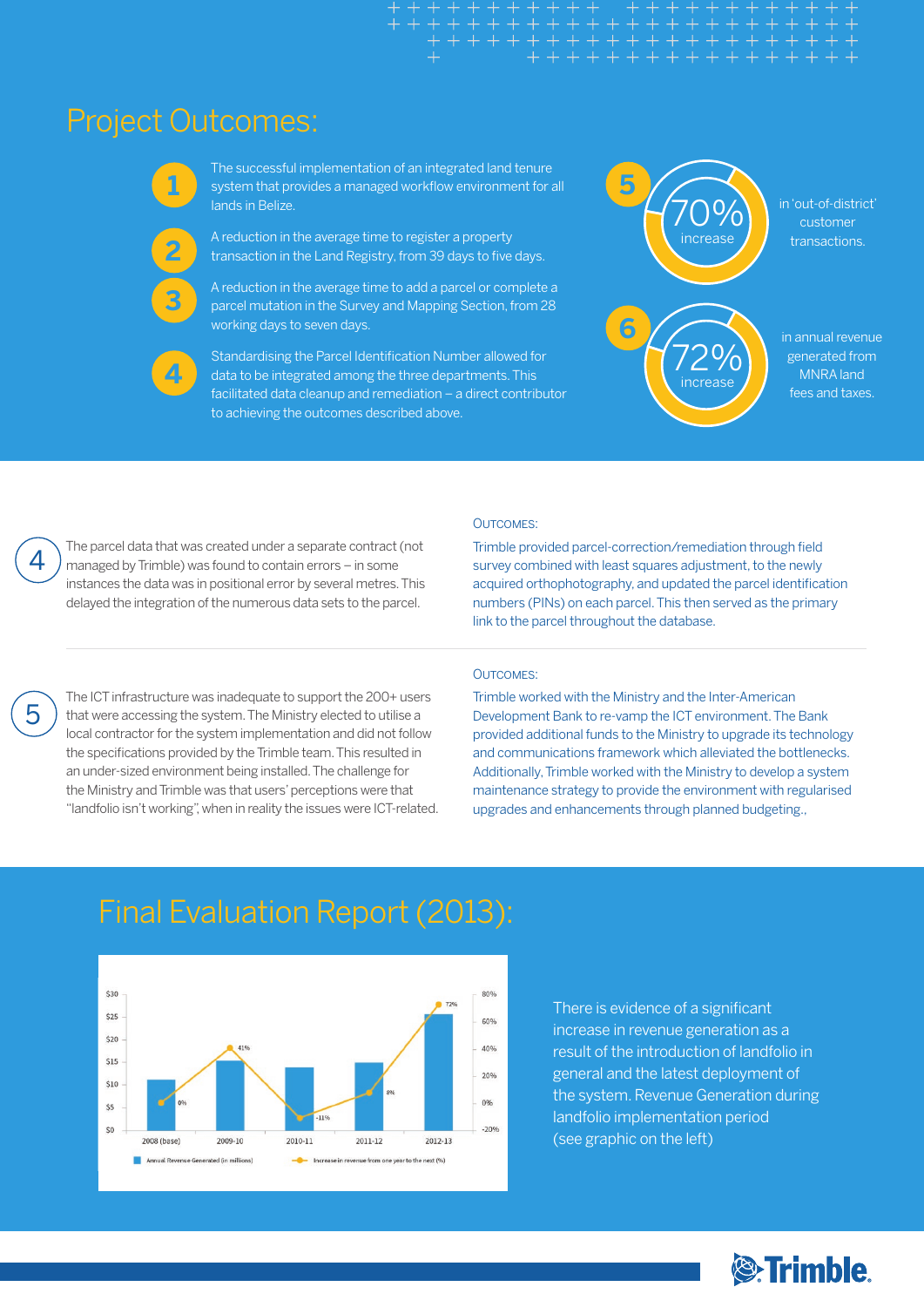### Project Outcomes:



**2**

The successful implementation of an integrated land tenure system that provides a managed workflow environment for all lands in Belize.

A reduction in the average time to register a property transaction in the Land Registry, from 39 days to five days.



A reduction in the average time to add a parcel or complete a parcel mutation in the Survey and Mapping Section, from 28 working days to seven days.



Standardising the Parcel Identification Number allowed for data to be integrated among the three departments. This facilitated data cleanup and remediation – a direct contributor to achieving the outcomes described above.



in 'out-of-district' customer transactions.

in annual revenue generated from MNRA land fees and taxes.

The parcel data that was created under a separate contract (not managed by Trimble) was found to contain errors – in some instances the data was in positional error by several metres. This delayed the integration of the numerous data sets to the parcel.

#### Outcomes:

Trimble provided parcel-correction/remediation through field survey combined with least squares adjustment, to the newly acquired orthophotography, and updated the parcel identification numbers (PINs) on each parcel. This then served as the primary link to the parcel throughout the database.

5

4

OUTCOMES<sup>-</sup>

Trimble worked with the Ministry and the Inter-American Development Bank to re-vamp the ICT environment. The Bank provided additional funds to the Ministry to upgrade its technology and communications framework which alleviated the bottlenecks. Additionally, Trimble worked with the Ministry to develop a system maintenance strategy to provide the environment with regularised upgrades and enhancements through planned budgeting.,

The ICT infrastructure was inadequate to support the 200+ users that were accessing the system. The Ministry elected to utilise a local contractor for the system implementation and did not follow the specifications provided by the Trimble team. This resulted in an under-sized environment being installed. The challenge for the Ministry and Trimble was that users' perceptions were that "landfolio isn't working", when in reality the issues were ICT-related.

### Final Evaluation Report (2013):



There is evidence of a significant increase in revenue generation as a result of the introduction of landfolio in general and the latest deployment of the system. Revenue Generation during landfolio implementation period (see graphic on the left)